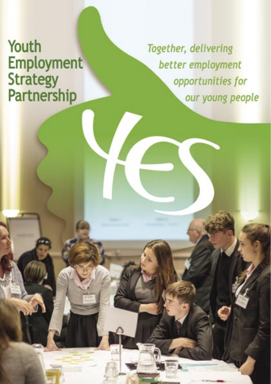# Youth Employment<br>Strategy<br>Partnership

Together, delivering better employment opportunities for our young people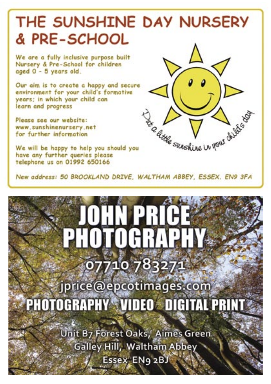# THE SUNSHINE DAY NURSERY & PRE-SCHOOL

We are a fully inclusive purpose built Nursery & Pre-School for children aged 0 - 5 years old.

Our aim is to create a happy and secure environment for your child's formative years; in which your child can learn and progress

Please see our website: www.sunshinenursery.net for further information

We will be happy to help you should you have any further queries please telephone us on 01992 650166



New address: 50 BROOKLAND DRIVE, WALTHAM ABBEY, ESSEX, EN9 3FA

# **JOHN PRICE** 07710 783271

# jprice@epcotimages.com **PHOTOGRAPHY VIDEO DIGITAL PRINT**

Unit B7 Forest Oaks, Aimes Green **Galley Hill, Waltham Abbey** Essex ENg 2BJ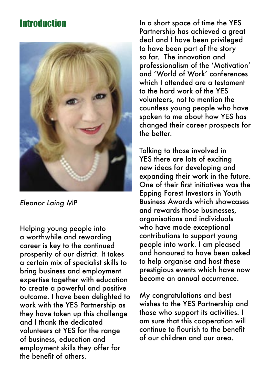## **Introduction**



*Eleanor Laing MP*

Helping young people into a worthwhile and rewarding career is key to the continued prosperity of our district. It takes a certain mix of specialist skills to bring business and employment expertise together with education to create a powerful and positive outcome. I have been delighted to work with the YES Partnership as they have taken up this challenge and I thank the dedicated volunteers at YES for the range of business, education and employment skills they offer for the benefit of others.

In a short space of time the YES Partnership has achieved a great deal and I have been privileged to have been part of the story so far. The innovation and professionalism of the ʻMotivation' and ʻWorld of Work' conferences which I attended are a testament to the hard work of the YES volunteers, not to mention the countless young people who have spoken to me about how YES has changed their career prospects for the better.

Talking to those involved in YES there are lots of exciting new ideas for developing and expanding their work in the future. One of their first initiatives was the Epping Forest Investors in Youth Business Awards which showcases and rewards those businesses, organisations and individuals who have made exceptional contributions to support young people into work. I am pleased and honoured to have been asked to help organise and host these prestigious events which have now become an annual occurrence.

My congratulations and best wishes to the YES Partnership and those who support its activities. I am sure that this cooperation will continue to flourish to the benefit of our children and our area.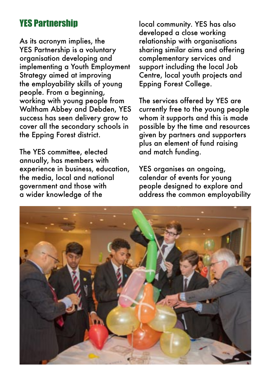# YES Partnership

As its acronym implies, the YES Partnership is a voluntary organisation developing and implementing a Youth Employment Strategy aimed at improving the employability skills of young people. From a beginning, working with young people from Waltham Abbey and Debden, YES success has seen delivery grow to cover all the secondary schools in the Epping Forest district.

The YES committee, elected annually, has members with experience in business, education, the media, local and national government and those with a wider knowledge of the

local community. YES has also developed a close working relationship with organisations sharing similar aims and offering complementary services and support including the local Job Centre, local youth projects and Epping Forest College.

The services offered by YES are currently free to the young people whom it supports and this is made possible by the time and resources given by partners and supporters plus an element of fund raising and match funding.

YES organises an ongoing, calendar of events for young people designed to explore and address the common employability

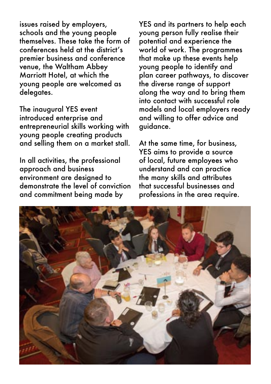issues raised by employers, schools and the young people themselves. These take the form of conferences held at the district's premier business and conference venue, the Waltham Abbey Marriott Hotel, at which the young people are welcomed as delegates.

The inaugural YES event introduced enterprise and entrepreneurial skills working with young people creating products and selling them on a market stall.

In all activities, the professional approach and business environment are designed to demonstrate the level of conviction and commitment being made by

YES and its partners to help each young person fully realise their potential and experience the world of work. The programmes that make up these events help young people to identify and plan career pathways, to discover the diverse range of support along the way and to bring them into contact with successful role models and local employers ready and willing to offer advice and guidance.

At the same time, for business, YES aims to provide a source of local, future employees who understand and can practice the many skills and attributes that successful businesses and professions in the area require.

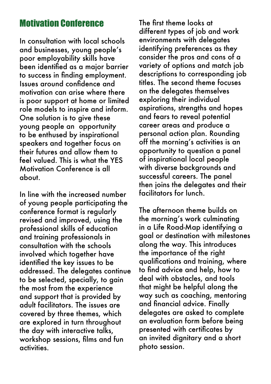## Motivation Conference

In consultation with local schools and businesses, young people's poor employability skills have been identified as a major barrier to success in finding employment. Issues around confidence and motivation can arise where there is poor support at home or limited role models to inspire and inform. One solution is to give these young people an opportunity to be enthused by inspirational speakers and together focus on their futures and allow them to feel valued. This is what the YES Motivation Conference is all about.

In line with the increased number of young people participating the conference format is regularly revised and improved, using the professional skills of education and training professionals in consultation with the schools involved which together have identified the key issues to be addressed. The delegates continue to be selected, specially, to gain the most from the experience and support that is provided by adult facilitators. The issues are covered by three themes, which are explored in turn throughout the day with interactive talks, workshop sessions, films and fun activities.

The first theme looks at different types of job and work environments with delegates identifying preferences as they consider the pros and cons of a variety of options and match job descriptions to corresponding job titles. The second theme focuses on the delegates themselves exploring their individual aspirations, strengths and hopes and fears to reveal potential career areas and produce a personal action plan. Rounding off the morning's activities is an opportunity to question a panel of inspirational local people with diverse backgrounds and successful careers. The panel then joins the delegates and their facilitators for lunch.

The afternoon theme builds on the morning's work culminating in a Life Road-Map identifying a goal or destination with milestones along the way. This introduces the importance of the right qualifications and training, where to find advice and help, how to deal with obstacles, and tools that might be helpful along the way such as coaching, mentoring and financial advice. Finally delegates are asked to complete an evaluation form before being presented with certificates by an invited dignitary and a short photo session.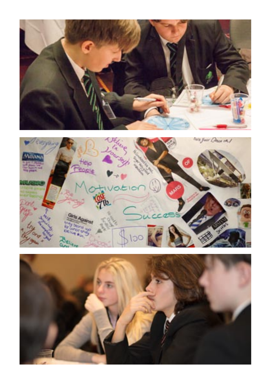

Date Jour Down on /

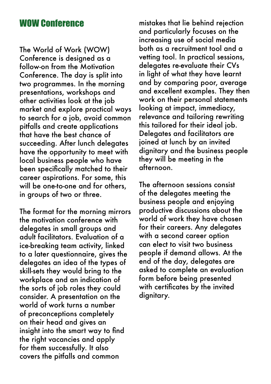#### WOW Conference

The World of Work (WOW) Conference is designed as a follow-on from the Motivation Conference. The day is split into two programmes. In the morning presentations, workshops and other activities look at the job market and explore practical ways to search for a job, avoid common pitfalls and create applications that have the best chance of succeeding. After lunch delegates have the opportunity to meet with local business people who have been specifically matched to their career aspirations. For some, this will be one-to-one and for others, in groups of two or three.

The format for the morning mirrors the motivation conference with delegates in small groups and adult facilitators. Evaluation of a ice-breaking team activity, linked to a later questionnaire, gives the delegates an idea of the types of skill-sets they would bring to the workplace and an indication of the sorts of job roles they could consider. A presentation on the world of work turns a number of preconceptions completely on their head and gives an insight into the smart way to find the right vacancies and apply for them successfully. It also covers the pitfalls and common

mistakes that lie behind rejection and particularly focuses on the increasing use of social media both as a recruitment tool and a vetting tool. In practical sessions, delegates re-evaluate their CVs in light of what they have learnt and by comparing poor, average and excellent examples. They then work on their personal statements looking at impact, immediacy, relevance and tailoring rewriting this tailored for their ideal job. Delegates and facilitators are joined at lunch by an invited dignitary and the business people they will be meeting in the afternoon.

The afternoon sessions consist of the delegates meeting the business people and enjoying productive discussions about the world of work they have chosen for their careers. Any delegates with a second career option can elect to visit two business people if demand allows. At the end of the day, delegates are asked to complete an evaluation form before being presented with certificates by the invited dignitary.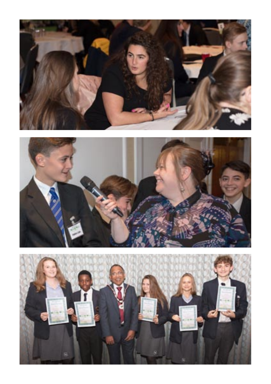



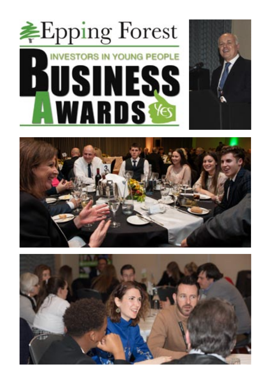





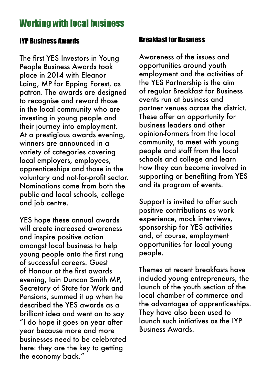## Working with local business

#### IYP Business Awards

The first YES Investors in Young People Business Awards took place in 2014 with Eleanor Laing, MP for Epping Forest, as patron. The awards are designed to recognise and reward those in the local community who are investing in young people and their journey into employment. At a prestigious awards evening, winners are announced in a variety of categories covering local employers, employees, apprenticeships and those in the voluntary and not-for-profit sector. Nominations come from both the public and local schools, college and job centre.

YES hope these annual awards will create increased awareness and inspire positive action amongst local business to help young people onto the first rung of successful careers. Guest of Honour at the first awards evening, Iain Duncan Smith MP, Secretary of State for Work and Pensions, summed it up when he described the YES awards as a brilliant idea and went on to say "I do hope it goes on year after year because more and more businesses need to be celebrated here: they are the key to getting the economy back."

#### Breakfast for Business

Awareness of the issues and opportunities around youth employment and the activities of the YES Partnership is the aim of regular Breakfast for Business events run at business and partner venues across the district. These offer an opportunity for business leaders and other opinion-formers from the local community, to meet with young people and staff from the local schools and college and learn how they can become involved in supporting or benefiting from YES and its program of events.

Support is invited to offer such positive contributions as work experience, mock interviews, sponsorship for YES activities and, of course, employment opportunities for local young people.

Themes at recent breakfasts have included young entrepreneurs, the launch of the youth section of the local chamber of commerce and the advantages of apprenticeships. They have also been used to launch such initiatives as the IYP Business Awards.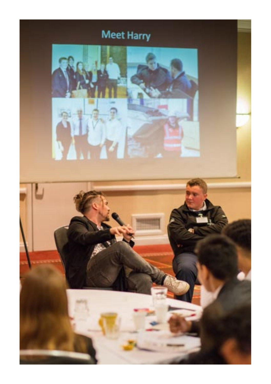# Meet Harry

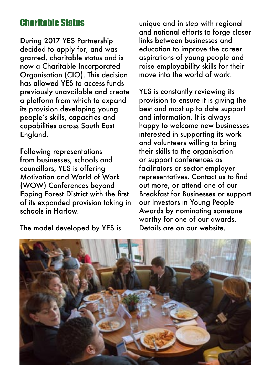# Charitable Status

During 2017 YES Partnership decided to apply for, and was granted, charitable status and is now a Charitable Incorporated Organisation (CIO). This decision has allowed YES to access funds previously unavailable and create a platform from which to expand its provision developing young people's skills, capacities and capabilities across South East England.

Following representations from businesses, schools and councillors, YES is offering Motivation and World of Work (WOW) Conferences beyond Epping Forest District with the first of its expanded provision taking in schools in Harlow.

unique and in step with regional and national efforts to forge closer links between businesses and education to improve the career aspirations of young people and raise employability skills for their move into the world of work.

YES is constantly reviewing its provision to ensure it is giving the best and most up to date support and information. It is always happy to welcome new businesses interested in supporting its work and volunteers willing to bring their skills to the organisation or support conferences as facilitators or sector employer representatives. Contact us to find out more, or attend one of our Breakfast for Businesses or support our Investors in Young People Awards by nominating someone worthy for one of our awards. Details are on our website.



The model developed by YES is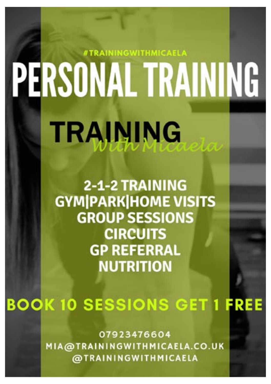# **TRAININGWITHMICAELA PERSONAL TRAINING TRAINING**

2-1-2 TRAINING **GYM|PARK|HOME VISITS GROUP SESSIONS CIRCUITS GP REFERRAL NUTRITION** 

**BOOK 10 SESSIONS GET 1 FREE** 

07923476604 MIA@TRAININGWITHMICAELA.CO.UK **@TRAININGWITHMICAELA**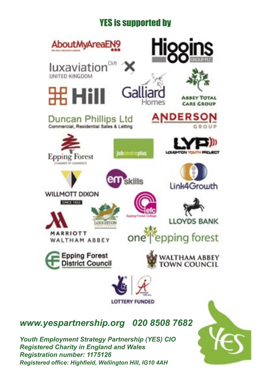# YES is supported by



*Youth Employment Strategy Partnership (YES) CIO Registered Charity in England and Wales Registration number: 1175126 Registered office: Highfield, Wellington Hill, IG10 4AH*